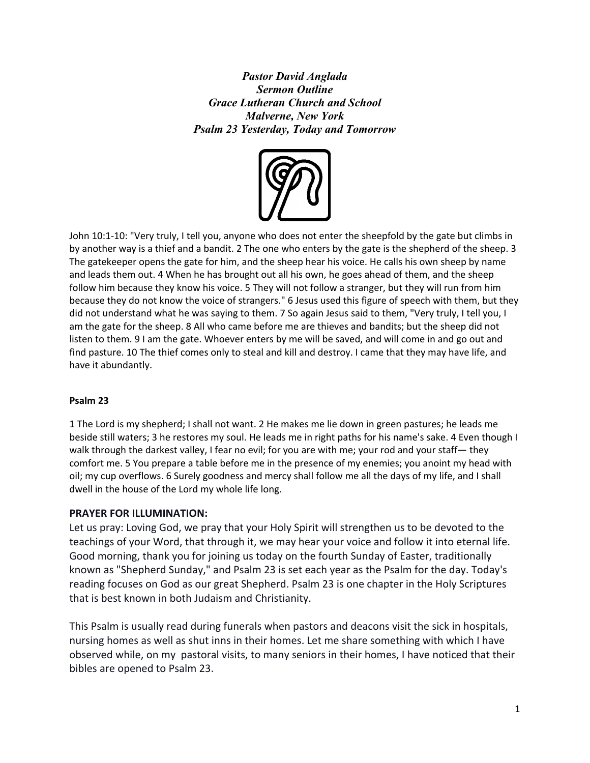*Pastor David Anglada Sermon Outline Grace Lutheran Church and School Malverne, New York Psalm 23 Yesterday, Today and Tomorrow*



John 10:1-10: "Very truly, I tell you, anyone who does not enter the sheepfold by the gate but climbs in by another way is a thief and a bandit. 2 The one who enters by the gate is the shepherd of the sheep. 3 The gatekeeper opens the gate for him, and the sheep hear his voice. He calls his own sheep by name and leads them out. 4 When he has brought out all his own, he goes ahead of them, and the sheep follow him because they know his voice. 5 They will not follow a stranger, but they will run from him because they do not know the voice of strangers." 6 Jesus used this figure of speech with them, but they did not understand what he was saying to them. 7 So again Jesus said to them, "Very truly, I tell you, I am the gate for the sheep. 8 All who came before me are thieves and bandits; but the sheep did not listen to them. 9 I am the gate. Whoever enters by me will be saved, and will come in and go out and find pasture. 10 The thief comes only to steal and kill and destroy. I came that they may have life, and have it abundantly.

## **Psalm 23**

1 The Lord is my shepherd; I shall not want. 2 He makes me lie down in green pastures; he leads me beside still waters; 3 he restores my soul. He leads me in right paths for his name's sake. 4 Even though I walk through the darkest valley, I fear no evil; for you are with me; your rod and your staff— they comfort me. 5 You prepare a table before me in the presence of my enemies; you anoint my head with oil; my cup overflows. 6 Surely goodness and mercy shall follow me all the days of my life, and I shall dwell in the house of the Lord my whole life long.

## **PRAYER FOR ILLUMINATION:**

Let us pray: Loving God, we pray that your Holy Spirit will strengthen us to be devoted to the teachings of your Word, that through it, we may hear your voice and follow it into eternal life. Good morning, thank you for joining us today on the fourth Sunday of Easter, traditionally known as "Shepherd Sunday," and Psalm 23 is set each year as the Psalm for the day. Today's reading focuses on God as our great Shepherd. Psalm 23 is one chapter in the Holy Scriptures that is best known in both Judaism and Christianity.

This Psalm is usually read during funerals when pastors and deacons visit the sick in hospitals, nursing homes as well as shut inns in their homes. Let me share something with which I have observed while, on my pastoral visits, to many seniors in their homes, I have noticed that their bibles are opened to Psalm 23.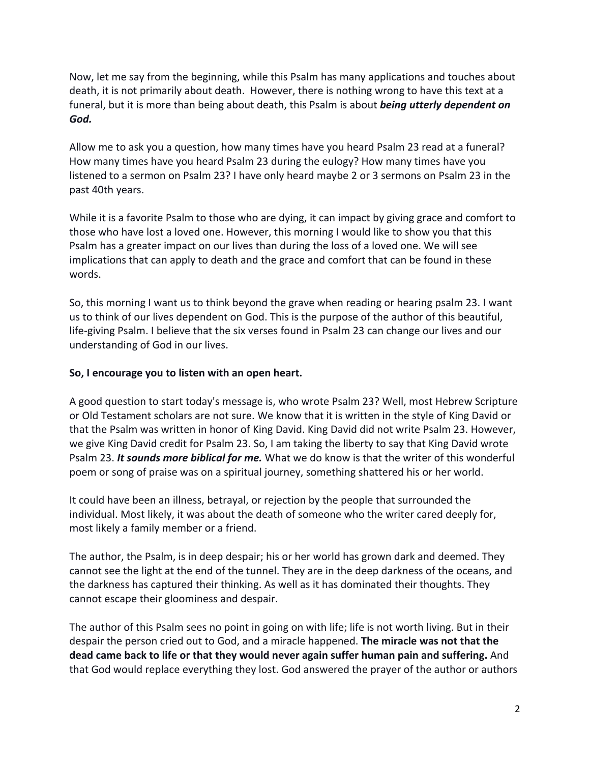Now, let me say from the beginning, while this Psalm has many applications and touches about death, it is not primarily about death. However, there is nothing wrong to have this text at a funeral, but it is more than being about death, this Psalm is about *being utterly dependent on God.*

Allow me to ask you a question, how many times have you heard Psalm 23 read at a funeral? How many times have you heard Psalm 23 during the eulogy? How many times have you listened to a sermon on Psalm 23? I have only heard maybe 2 or 3 sermons on Psalm 23 in the past 40th years.

While it is a favorite Psalm to those who are dying, it can impact by giving grace and comfort to those who have lost a loved one. However, this morning I would like to show you that this Psalm has a greater impact on our lives than during the loss of a loved one. We will see implications that can apply to death and the grace and comfort that can be found in these words.

So, this morning I want us to think beyond the grave when reading or hearing psalm 23. I want us to think of our lives dependent on God. This is the purpose of the author of this beautiful, life-giving Psalm. I believe that the six verses found in Psalm 23 can change our lives and our understanding of God in our lives.

## **So, I encourage you to listen with an open heart.**

A good question to start today's message is, who wrote Psalm 23? Well, most Hebrew Scripture or Old Testament scholars are not sure. We know that it is written in the style of King David or that the Psalm was written in honor of King David. King David did not write Psalm 23. However, we give King David credit for Psalm 23. So, I am taking the liberty to say that King David wrote Psalm 23. *It sounds more biblical for me.* What we do know is that the writer of this wonderful poem or song of praise was on a spiritual journey, something shattered his or her world.

It could have been an illness, betrayal, or rejection by the people that surrounded the individual. Most likely, it was about the death of someone who the writer cared deeply for, most likely a family member or a friend.

The author, the Psalm, is in deep despair; his or her world has grown dark and deemed. They cannot see the light at the end of the tunnel. They are in the deep darkness of the oceans, and the darkness has captured their thinking. As well as it has dominated their thoughts. They cannot escape their gloominess and despair.

The author of this Psalm sees no point in going on with life; life is not worth living. But in their despair the person cried out to God, and a miracle happened. **The miracle was not that the dead came back to life or that they would never again suffer human pain and suffering.** And that God would replace everything they lost. God answered the prayer of the author or authors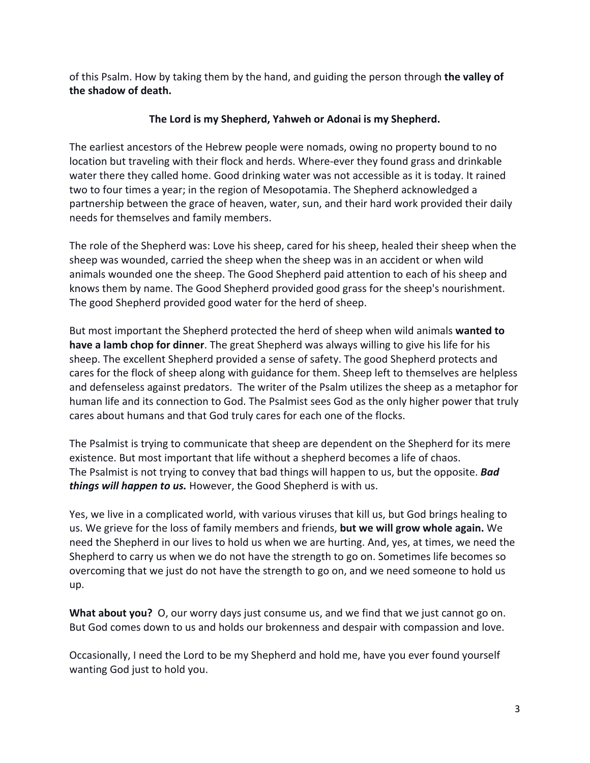of this Psalm. How by taking them by the hand, and guiding the person through **the valley of the shadow of death.**

# **The Lord is my Shepherd, Yahweh or Adonai is my Shepherd.**

The earliest ancestors of the Hebrew people were nomads, owing no property bound to no location but traveling with their flock and herds. Where-ever they found grass and drinkable water there they called home. Good drinking water was not accessible as it is today. It rained two to four times a year; in the region of Mesopotamia. The Shepherd acknowledged a partnership between the grace of heaven, water, sun, and their hard work provided their daily needs for themselves and family members.

The role of the Shepherd was: Love his sheep, cared for his sheep, healed their sheep when the sheep was wounded, carried the sheep when the sheep was in an accident or when wild animals wounded one the sheep. The Good Shepherd paid attention to each of his sheep and knows them by name. The Good Shepherd provided good grass for the sheep's nourishment. The good Shepherd provided good water for the herd of sheep.

But most important the Shepherd protected the herd of sheep when wild animals **wanted to have a lamb chop for dinner**. The great Shepherd was always willing to give his life for his sheep. The excellent Shepherd provided a sense of safety. The good Shepherd protects and cares for the flock of sheep along with guidance for them. Sheep left to themselves are helpless and defenseless against predators. The writer of the Psalm utilizes the sheep as a metaphor for human life and its connection to God. The Psalmist sees God as the only higher power that truly cares about humans and that God truly cares for each one of the flocks.

The Psalmist is trying to communicate that sheep are dependent on the Shepherd for its mere existence. But most important that life without a shepherd becomes a life of chaos. The Psalmist is not trying to convey that bad things will happen to us, but the opposite. *Bad things will happen to us.* However, the Good Shepherd is with us.

Yes, we live in a complicated world, with various viruses that kill us, but God brings healing to us. We grieve for the loss of family members and friends, **but we will grow whole again.** We need the Shepherd in our lives to hold us when we are hurting. And, yes, at times, we need the Shepherd to carry us when we do not have the strength to go on. Sometimes life becomes so overcoming that we just do not have the strength to go on, and we need someone to hold us up.

**What about you?** O, our worry days just consume us, and we find that we just cannot go on. But God comes down to us and holds our brokenness and despair with compassion and love.

Occasionally, I need the Lord to be my Shepherd and hold me, have you ever found yourself wanting God just to hold you.